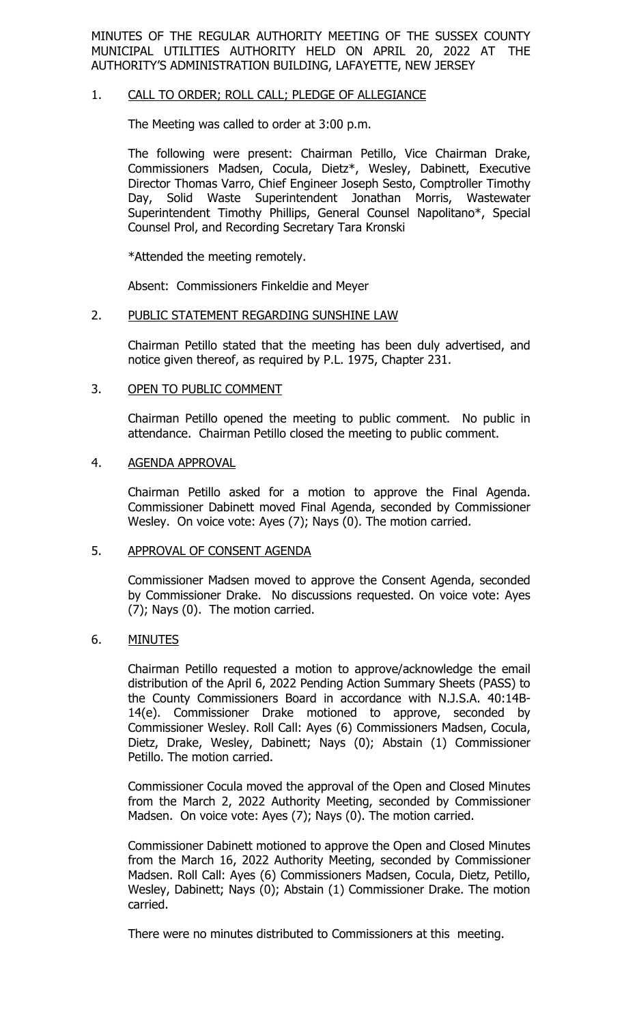MINUTES OF THE REGULAR AUTHORITY MEETING OF THE SUSSEX COUNTY MUNICIPAL UTILITIES AUTHORITY HELD ON APRIL 20, 2022 AT THE AUTHORITY'S ADMINISTRATION BUILDING, LAFAYETTE, NEW JERSEY

### 1. CALL TO ORDER; ROLL CALL; PLEDGE OF ALLEGIANCE

The Meeting was called to order at 3:00 p.m.

The following were present: Chairman Petillo, Vice Chairman Drake, Commissioners Madsen, Cocula, Dietz\*, Wesley, Dabinett, Executive Director Thomas Varro, Chief Engineer Joseph Sesto, Comptroller Timothy Day, Solid Waste Superintendent Jonathan Morris, Wastewater Superintendent Timothy Phillips, General Counsel Napolitano\*, Special Counsel Prol, and Recording Secretary Tara Kronski

\*Attended the meeting remotely.

Absent: Commissioners Finkeldie and Meyer

#### 2. PUBLIC STATEMENT REGARDING SUNSHINE LAW

Chairman Petillo stated that the meeting has been duly advertised, and notice given thereof, as required by P.L. 1975, Chapter 231.

#### 3. OPEN TO PUBLIC COMMENT

Chairman Petillo opened the meeting to public comment. No public in attendance. Chairman Petillo closed the meeting to public comment.

# 4. AGENDA APPROVAL

Chairman Petillo asked for a motion to approve the Final Agenda. Commissioner Dabinett moved Final Agenda, seconded by Commissioner Wesley. On voice vote: Ayes (7); Nays (0). The motion carried.

#### 5. APPROVAL OF CONSENT AGENDA

Commissioner Madsen moved to approve the Consent Agenda, seconded by Commissioner Drake. No discussions requested. On voice vote: Ayes (7); Nays (0). The motion carried.

### 6. MINUTES

Chairman Petillo requested a motion to approve/acknowledge the email distribution of the April 6, 2022 Pending Action Summary Sheets (PASS) to the County Commissioners Board in accordance with N.J.S.A. 40:14B-14(e). Commissioner Drake motioned to approve, seconded by Commissioner Wesley. Roll Call: Ayes (6) Commissioners Madsen, Cocula, Dietz, Drake, Wesley, Dabinett; Nays (0); Abstain (1) Commissioner Petillo. The motion carried.

Commissioner Cocula moved the approval of the Open and Closed Minutes from the March 2, 2022 Authority Meeting, seconded by Commissioner Madsen. On voice vote: Ayes (7); Nays (0). The motion carried.

Commissioner Dabinett motioned to approve the Open and Closed Minutes from the March 16, 2022 Authority Meeting, seconded by Commissioner Madsen. Roll Call: Ayes (6) Commissioners Madsen, Cocula, Dietz, Petillo, Wesley, Dabinett; Nays (0); Abstain (1) Commissioner Drake. The motion carried.

There were no minutes distributed to Commissioners at this meeting.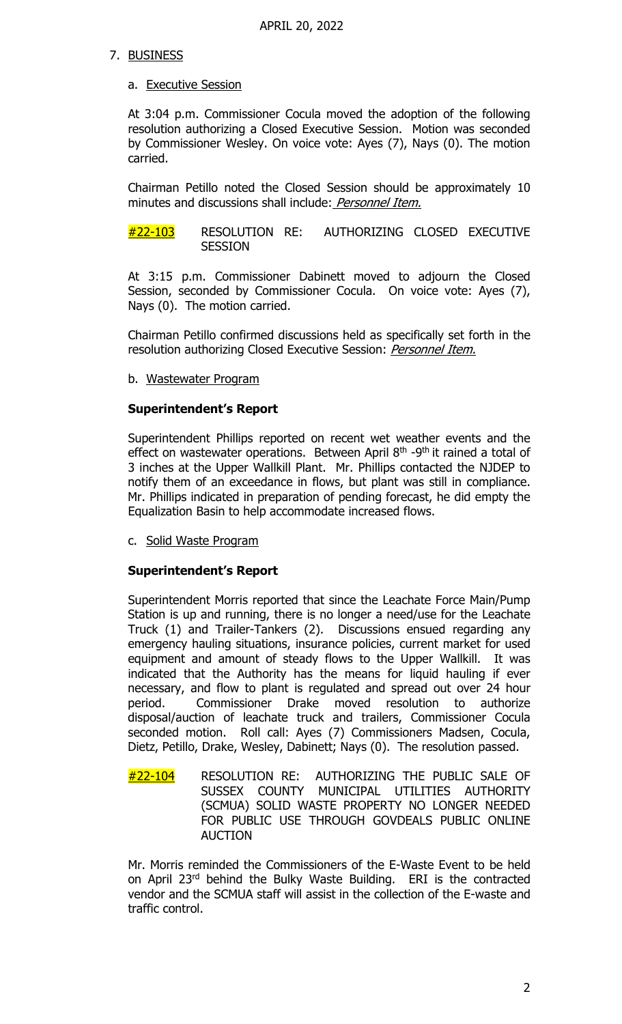# 7. BUSINESS

### a. Executive Session

At 3:04 p.m. Commissioner Cocula moved the adoption of the following resolution authorizing a Closed Executive Session. Motion was seconded by Commissioner Wesley. On voice vote: Ayes (7), Nays (0). The motion carried.

Chairman Petillo noted the Closed Session should be approximately 10 minutes and discussions shall include: Personnel Item.

#22-103 RESOLUTION RE: AUTHORIZING CLOSED EXECUTIVE **SESSION** 

At 3:15 p.m. Commissioner Dabinett moved to adjourn the Closed Session, seconded by Commissioner Cocula. On voice vote: Ayes (7), Nays (0). The motion carried.

Chairman Petillo confirmed discussions held as specifically set forth in the resolution authorizing Closed Executive Session: *Personnel Item.* 

b. Wastewater Program

# **Superintendent's Report**

Superintendent Phillips reported on recent wet weather events and the effect on wastewater operations. Between April  $8<sup>th</sup>$  -9<sup>th</sup> it rained a total of 3 inches at the Upper Wallkill Plant. Mr. Phillips contacted the NJDEP to notify them of an exceedance in flows, but plant was still in compliance. Mr. Phillips indicated in preparation of pending forecast, he did empty the Equalization Basin to help accommodate increased flows.

c. Solid Waste Program

### **Superintendent's Report**

Superintendent Morris reported that since the Leachate Force Main/Pump Station is up and running, there is no longer a need/use for the Leachate Truck (1) and Trailer-Tankers (2). Discussions ensued regarding any emergency hauling situations, insurance policies, current market for used equipment and amount of steady flows to the Upper Wallkill. It was indicated that the Authority has the means for liquid hauling if ever necessary, and flow to plant is regulated and spread out over 24 hour period. Commissioner Drake moved resolution to authorize disposal/auction of leachate truck and trailers, Commissioner Cocula seconded motion. Roll call: Ayes (7) Commissioners Madsen, Cocula, Dietz, Petillo, Drake, Wesley, Dabinett; Nays (0). The resolution passed.

 $\frac{\#22-104}{\#22-104}$  RESOLUTION RE: AUTHORIZING THE PUBLIC SALE OF SUSSEX COUNTY MUNICIPAL UTILITIES AUTHORITY (SCMUA) SOLID WASTE PROPERTY NO LONGER NEEDED FOR PUBLIC USE THROUGH GOVDEALS PUBLIC ONLINE AUCTION

Mr. Morris reminded the Commissioners of the E-Waste Event to be held on April 23rd behind the Bulky Waste Building. ERI is the contracted vendor and the SCMUA staff will assist in the collection of the E-waste and traffic control.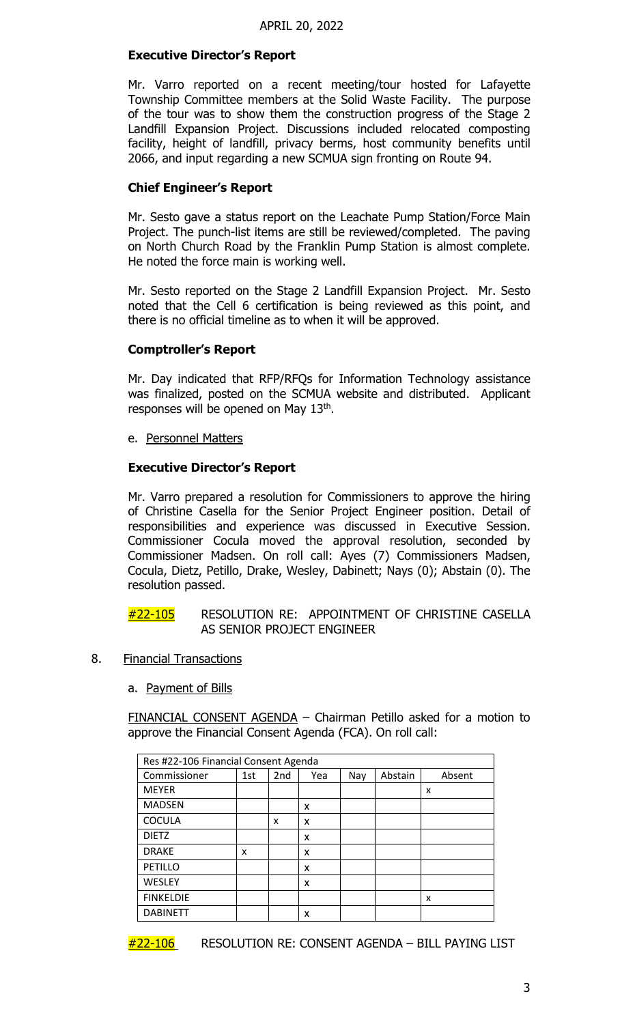# **Executive Director's Report**

Mr. Varro reported on a recent meeting/tour hosted for Lafayette Township Committee members at the Solid Waste Facility. The purpose of the tour was to show them the construction progress of the Stage 2 Landfill Expansion Project. Discussions included relocated composting facility, height of landfill, privacy berms, host community benefits until 2066, and input regarding a new SCMUA sign fronting on Route 94.

## **Chief Engineer's Report**

Mr. Sesto gave a status report on the Leachate Pump Station/Force Main Project. The punch-list items are still be reviewed/completed. The paving on North Church Road by the Franklin Pump Station is almost complete. He noted the force main is working well.

Mr. Sesto reported on the Stage 2 Landfill Expansion Project. Mr. Sesto noted that the Cell 6 certification is being reviewed as this point, and there is no official timeline as to when it will be approved.

# **Comptroller's Report**

Mr. Day indicated that RFP/RFQs for Information Technology assistance was finalized, posted on the SCMUA website and distributed. Applicant responses will be opened on May 13<sup>th</sup>.

e. Personnel Matters

# **Executive Director's Report**

Mr. Varro prepared a resolution for Commissioners to approve the hiring of Christine Casella for the Senior Project Engineer position. Detail of responsibilities and experience was discussed in Executive Session. Commissioner Cocula moved the approval resolution, seconded by Commissioner Madsen. On roll call: Ayes (7) Commissioners Madsen, Cocula, Dietz, Petillo, Drake, Wesley, Dabinett; Nays (0); Abstain (0). The resolution passed.

### #22-105 RESOLUTION RE: APPOINTMENT OF CHRISTINE CASELLA AS SENIOR PROJECT ENGINEER

- 8. Financial Transactions
	- a. Payment of Bills

FINANCIAL CONSENT AGENDA – Chairman Petillo asked for a motion to approve the Financial Consent Agenda (FCA). On roll call:

| Res #22-106 Financial Consent Agenda |     |     |     |     |         |        |
|--------------------------------------|-----|-----|-----|-----|---------|--------|
| Commissioner                         | 1st | 2nd | Yea | Nay | Abstain | Absent |
| <b>MEYER</b>                         |     |     |     |     |         | x      |
| <b>MADSEN</b>                        |     |     | x   |     |         |        |
| <b>COCULA</b>                        |     | x   | x   |     |         |        |
| <b>DIETZ</b>                         |     |     | x   |     |         |        |
| <b>DRAKE</b>                         | x   |     | x   |     |         |        |
| PETILLO                              |     |     | x   |     |         |        |
| WESLEY                               |     |     | x   |     |         |        |
| <b>FINKELDIE</b>                     |     |     |     |     |         | x      |
| <b>DABINETT</b>                      |     |     | x   |     |         |        |

 $#22-106$  RESOLUTION RE: CONSENT AGENDA – BILL PAYING LIST